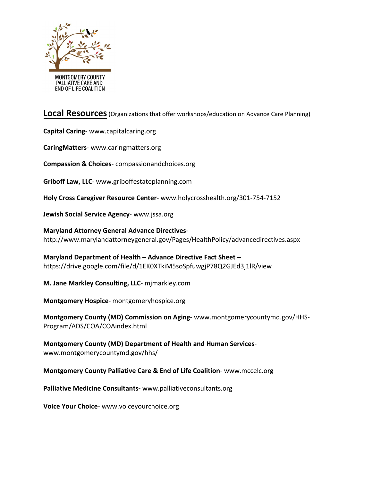

**Local Resources**(Organizations that offer workshops/education on Advance Care Planning)

**Capital Caring**- [www.capitalcaring.org](http://www.capitalcaring.org)

**CaringMatters**- [www.caringmatters.org](http://www.caringmatters.org)

**Compassion & Choices**- compassionandchoices.org

**Griboff Law, LLC**- [www.griboffestateplanning.com](http://www.griboffestateplanning.com)

**Holy Cross Caregiver Resource Center**- [www.holycrosshealth.org/301-754-7152](http://www.holycrosshealth.org/301-754-7152)

**Jewish Social Service Agency**- [www.jssa.org](http://www.jssa.org)

**Maryland Attorney General Advance Directives**<http://www.marylandattorneygeneral.gov/Pages/HealthPolicy/advancedirectives.aspx>

**[Maryland Department of Health – Advance Directive Fact Sheet](http://www.marylandattorneygeneral.gov/Pages/HealthPolicy/advancedirectives.aspx) –**  https://drive.google.com/file/d/1EK0XTkiM5soSpfuwgjP78Q2GJEd3j1lR/view

**M. Jane Markley Consulting, LLC**- mjmarkley.com

**[Montgomery](http://mjmarkley.com/) Hospice**- montgomeryhospice.org

**Montgomery County (MD) Commission on Aging**- [www.montgomerycountymd.gov/HHS-](http://www.montgomerycountymd.gov/HHS-Program/ADS/COA/COAindex.html)[Program/ADS/COA/C](https://www.montgomeryhospice.org/education-resources/advance-care-planning/advance-care-planning)[OAindex.html](http://www.montgomerycountymd.gov/HHS-Program/ADS/COA/COAindex.html)

**[Montgomery](https://www.montgomerycountymd.gov/HHS-Program/ADS/COA/COAindex.html) County (MD) Department of Health and Human Services**[www.montgomerycountymd.gov/hhs/](http://www.montgomerycountymd.gov/hhs/)

**Montgomery County Palliative Care & End of Life Coalition**[-](https://www.montgomerycountymd.gov/hhs/) [www.mccelc.org](http://www.mccelc.org)

**Palliative Medicine Consultants-** [www.palliativeconsultants.org](http://www.palliativeconsultants.org)

**Voice Your Choice**- [www.voiceyourchoice.org](http://www.voiceyourchoice.org)